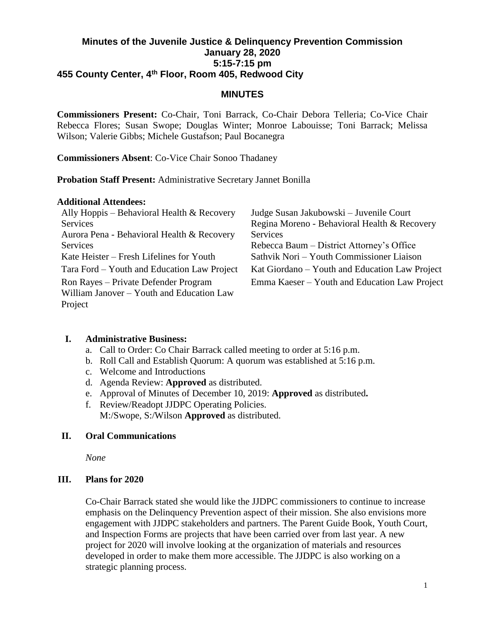## **Minutes of the Juvenile Justice & Delinquency Prevention Commission January 28, 2020 5:15-7:15 pm 455 County Center, 4th Floor, Room 405, Redwood City**

#### **MINUTES**

**Commissioners Present:** Co-Chair, Toni Barrack, Co-Chair Debora Telleria; Co-Vice Chair Rebecca Flores; Susan Swope; Douglas Winter; Monroe Labouisse; Toni Barrack; Melissa Wilson; Valerie Gibbs; Michele Gustafson; Paul Bocanegra

**Commissioners Absent**: Co-Vice Chair Sonoo Thadaney

**Probation Staff Present:** Administrative Secretary Jannet Bonilla

#### **Additional Attendees:**

| Ally Hoppis – Behavioral Health $&$ Recovery | Judge Susan Jakubowski – Juvenile Court        |
|----------------------------------------------|------------------------------------------------|
| <b>Services</b>                              | Regina Moreno - Behavioral Health & Recovery   |
| Aurora Pena - Behavioral Health & Recovery   | Services                                       |
| <b>Services</b>                              | Rebecca Baum – District Attorney's Office      |
| Kate Heister – Fresh Lifelines for Youth     | Sathvik Nori - Youth Commissioner Liaison      |
| Tara Ford – Youth and Education Law Project  | Kat Giordano – Youth and Education Law Project |
| Ron Rayes – Private Defender Program         | Emma Kaeser – Youth and Education Law Project  |
| William Janover - Youth and Education Law    |                                                |
| Project                                      |                                                |

## **I. Administrative Business:**

- a. Call to Order: Co Chair Barrack called meeting to order at 5:16 p.m.
- b. Roll Call and Establish Quorum: A quorum was established at 5:16 p.m.
- c. Welcome and Introductions
- d. Agenda Review: **Approved** as distributed.
- e. Approval of Minutes of December 10, 2019: **Approved** as distributed**.**
- f. Review/Readopt JJDPC Operating Policies. M:/Swope, S:/Wilson **Approved** as distributed.

## **II. Oral Communications**

*None*

## **III. Plans for 2020**

Co-Chair Barrack stated she would like the JJDPC commissioners to continue to increase emphasis on the Delinquency Prevention aspect of their mission. She also envisions more engagement with JJDPC stakeholders and partners. The Parent Guide Book, Youth Court, and Inspection Forms are projects that have been carried over from last year. A new project for 2020 will involve looking at the organization of materials and resources developed in order to make them more accessible. The JJDPC is also working on a strategic planning process.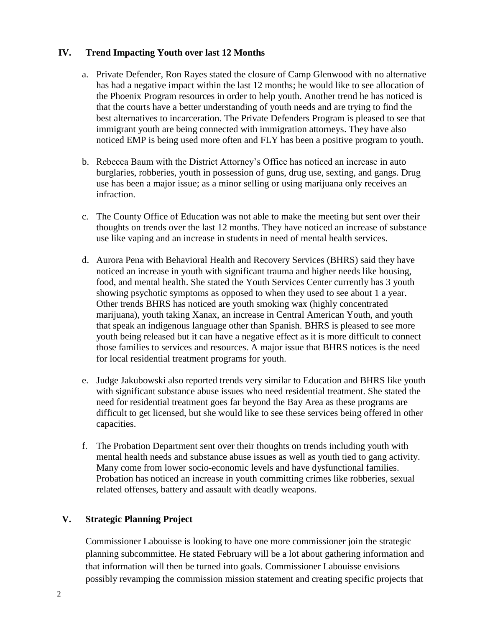#### **IV. Trend Impacting Youth over last 12 Months**

- a. Private Defender, Ron Rayes stated the closure of Camp Glenwood with no alternative has had a negative impact within the last 12 months; he would like to see allocation of the Phoenix Program resources in order to help youth. Another trend he has noticed is that the courts have a better understanding of youth needs and are trying to find the best alternatives to incarceration. The Private Defenders Program is pleased to see that immigrant youth are being connected with immigration attorneys. They have also noticed EMP is being used more often and FLY has been a positive program to youth.
- b. Rebecca Baum with the District Attorney's Office has noticed an increase in auto burglaries, robberies, youth in possession of guns, drug use, sexting, and gangs. Drug use has been a major issue; as a minor selling or using marijuana only receives an infraction.
- c. The County Office of Education was not able to make the meeting but sent over their thoughts on trends over the last 12 months. They have noticed an increase of substance use like vaping and an increase in students in need of mental health services.
- d. Aurora Pena with Behavioral Health and Recovery Services (BHRS) said they have noticed an increase in youth with significant trauma and higher needs like housing, food, and mental health. She stated the Youth Services Center currently has 3 youth showing psychotic symptoms as opposed to when they used to see about 1 a year. Other trends BHRS has noticed are youth smoking wax (highly concentrated marijuana), youth taking Xanax, an increase in Central American Youth, and youth that speak an indigenous language other than Spanish. BHRS is pleased to see more youth being released but it can have a negative effect as it is more difficult to connect those families to services and resources. A major issue that BHRS notices is the need for local residential treatment programs for youth.
- e. Judge Jakubowski also reported trends very similar to Education and BHRS like youth with significant substance abuse issues who need residential treatment. She stated the need for residential treatment goes far beyond the Bay Area as these programs are difficult to get licensed, but she would like to see these services being offered in other capacities.
- f. The Probation Department sent over their thoughts on trends including youth with mental health needs and substance abuse issues as well as youth tied to gang activity. Many come from lower socio-economic levels and have dysfunctional families. Probation has noticed an increase in youth committing crimes like robberies, sexual related offenses, battery and assault with deadly weapons.

## **V. Strategic Planning Project**

Commissioner Labouisse is looking to have one more commissioner join the strategic planning subcommittee. He stated February will be a lot about gathering information and that information will then be turned into goals. Commissioner Labouisse envisions possibly revamping the commission mission statement and creating specific projects that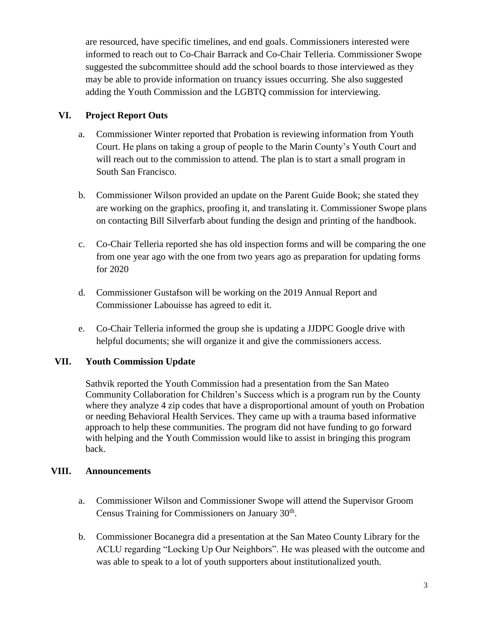are resourced, have specific timelines, and end goals. Commissioners interested were informed to reach out to Co-Chair Barrack and Co-Chair Telleria. Commissioner Swope suggested the subcommittee should add the school boards to those interviewed as they may be able to provide information on truancy issues occurring. She also suggested adding the Youth Commission and the LGBTQ commission for interviewing.

## **VI. Project Report Outs**

- a. Commissioner Winter reported that Probation is reviewing information from Youth Court. He plans on taking a group of people to the Marin County's Youth Court and will reach out to the commission to attend. The plan is to start a small program in South San Francisco.
- b. Commissioner Wilson provided an update on the Parent Guide Book; she stated they are working on the graphics, proofing it, and translating it. Commissioner Swope plans on contacting Bill Silverfarb about funding the design and printing of the handbook.
- c. Co-Chair Telleria reported she has old inspection forms and will be comparing the one from one year ago with the one from two years ago as preparation for updating forms for 2020
- d. Commissioner Gustafson will be working on the 2019 Annual Report and Commissioner Labouisse has agreed to edit it.
- e. Co-Chair Telleria informed the group she is updating a JJDPC Google drive with helpful documents; she will organize it and give the commissioners access.

# **VII. Youth Commission Update**

Sathvik reported the Youth Commission had a presentation from the San Mateo Community Collaboration for Children's Success which is a program run by the County where they analyze 4 zip codes that have a disproportional amount of youth on Probation or needing Behavioral Health Services. They came up with a trauma based informative approach to help these communities. The program did not have funding to go forward with helping and the Youth Commission would like to assist in bringing this program back.

## **VIII. Announcements**

- a. Commissioner Wilson and Commissioner Swope will attend the Supervisor Groom Census Training for Commissioners on January 30<sup>th</sup>.
- b. Commissioner Bocanegra did a presentation at the San Mateo County Library for the ACLU regarding "Locking Up Our Neighbors". He was pleased with the outcome and was able to speak to a lot of youth supporters about institutionalized youth.